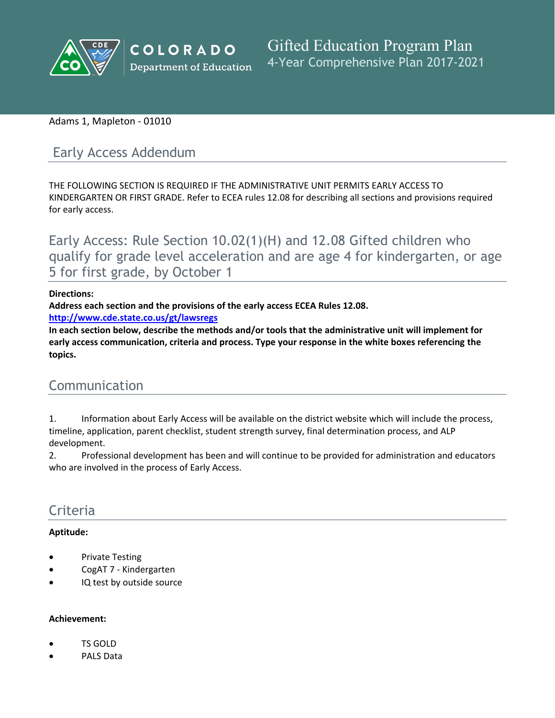

## Adams 1, Mapleton - 01010

# Early Access Addendum

THE FOLLOWING SECTION IS REQUIRED IF THE ADMINISTRATIVE UNIT PERMITS EARLY ACCESS TO KINDERGARTEN OR FIRST GRADE. Refer to ECEA rules 12.08 for describing all sections and provisions required for early access.

Early Access: Rule Section 10.02(1)(H) and 12.08 Gifted children who qualify for grade level acceleration and are age 4 for kindergarten, or age 5 for first grade, by October 1

#### **Directions:**

**Address each section and the provisions of the early access ECEA Rules 12.08.**

**<http://www.cde.state.co.us/gt/lawsregs>**

**In each section below, describe the methods and/or tools that the administrative unit will implement for early access communication, criteria and process. Type your response in the white boxes referencing the topics.**

# Communication

1. Information about Early Access will be available on the district website which will include the process, timeline, application, parent checklist, student strength survey, final determination process, and ALP development.

2. Professional development has been and will continue to be provided for administration and educators who are involved in the process of Early Access.

# Criteria

## **Aptitude:**

- Private Testing
- CogAT 7 Kindergarten
- IQ test by outside source

#### **Achievement:**

- TS GOLD
- PALS Data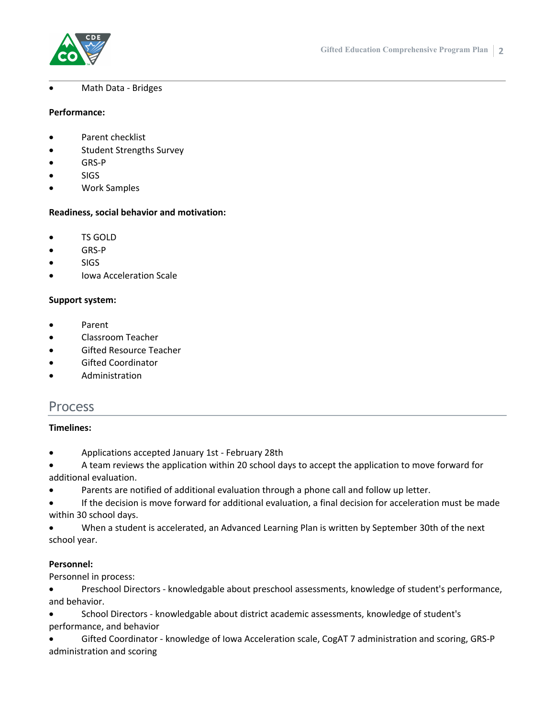

#### Math Data - Bridges

#### **Performance:**

- Parent checklist
- **•** Student Strengths Survey
- GRS-P
- SIGS
- Work Samples

#### **Readiness, social behavior and motivation:**

- TS GOLD
- GRS-P
- **SIGS**
- Iowa Acceleration Scale

#### **Support system:**

- Parent
- Classroom Teacher
- Gifted Resource Teacher
- Gifted Coordinator
- Administration

# Process

#### **Timelines:**

- Applications accepted January 1st February 28th
- A team reviews the application within 20 school days to accept the application to move forward for additional evaluation.
- Parents are notified of additional evaluation through a phone call and follow up letter.
- If the decision is move forward for additional evaluation, a final decision for acceleration must be made within 30 school days.
- When a student is accelerated, an Advanced Learning Plan is written by September 30th of the next school year.

#### **Personnel:**

Personnel in process:

- Preschool Directors knowledgable about preschool assessments, knowledge of student's performance, and behavior.
- School Directors knowledgable about district academic assessments, knowledge of student's performance, and behavior
- Gifted Coordinator knowledge of Iowa Acceleration scale, CogAT 7 administration and scoring, GRS-P administration and scoring